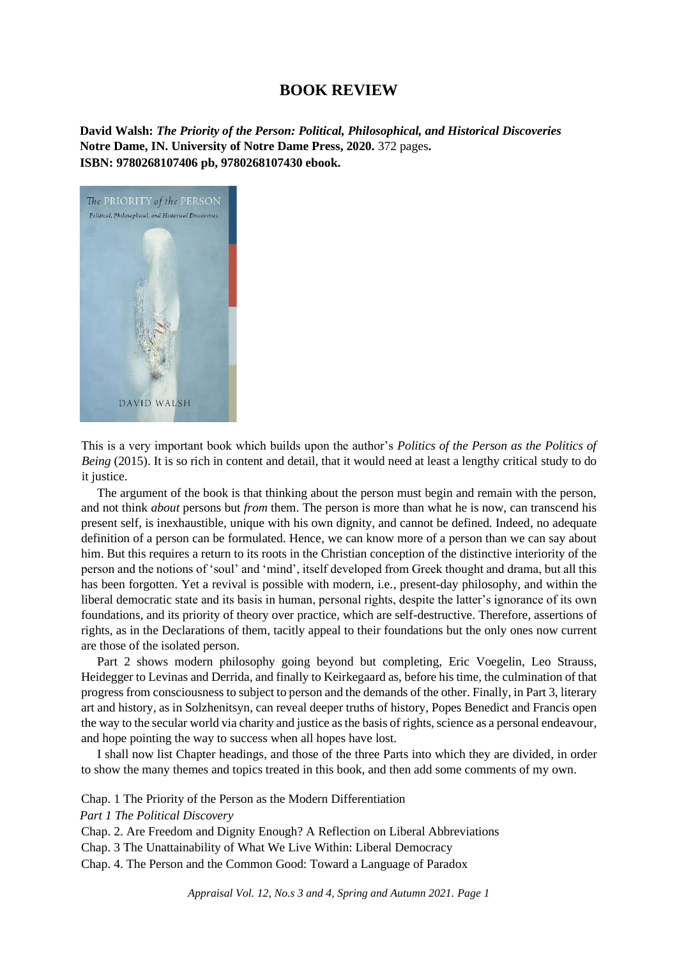## **BOOK REVIEW**

**David Walsh:** *The Priority of the Person: Political, Philosophical, and Historical Discoveries* **Notre Dame, IN. University of Notre Dame Press, 2020.** 372 pages**. ISBN: 9780268107406 pb, 9780268107430 ebook.**



This is a very important book which builds upon the author's *Politics of the Person as the Politics of Being* (2015). It is so rich in content and detail, that it would need at least a lengthy critical study to do it justice.

The argument of the book is that thinking about the person must begin and remain with the person, and not think *about* persons but *from* them. The person is more than what he is now, can transcend his present self, is inexhaustible, unique with his own dignity, and cannot be defined. Indeed, no adequate definition of a person can be formulated. Hence, we can know more of a person than we can say about him. But this requires a return to its roots in the Christian conception of the distinctive interiority of the person and the notions of 'soul' and 'mind', itself developed from Greek thought and drama, but all this has been forgotten. Yet a revival is possible with modern, i.e., present-day philosophy, and within the liberal democratic state and its basis in human, personal rights, despite the latter's ignorance of its own foundations, and its priority of theory over practice, which are self-destructive. Therefore, assertions of rights, as in the Declarations of them, tacitly appeal to their foundations but the only ones now current are those of the isolated person.

Part 2 shows modern philosophy going beyond but completing, Eric Voegelin, Leo Strauss, Heidegger to Levinas and Derrida, and finally to Keirkegaard as, before his time, the culmination of that progress from consciousness to subject to person and the demands of the other. Finally, in Part 3, literary art and history, as in Solzhenitsyn, can reveal deeper truths of history, Popes Benedict and Francis open the way to the secular world via charity and justice as the basis of rights, science as a personal endeavour, and hope pointing the way to success when all hopes have lost.

I shall now list Chapter headings, and those of the three Parts into which they are divided, in order to show the many themes and topics treated in this book, and then add some comments of my own.

Chap. 1 The Priority of the Person as the Modern Differentiation

*Part 1 The Political Discovery*

Chap. 2. Are Freedom and Dignity Enough? A Reflection on Liberal Abbreviations Chap. 3 The Unattainability of What We Live Within: Liberal Democracy

Chap. 4. The Person and the Common Good: Toward a Language of Paradox